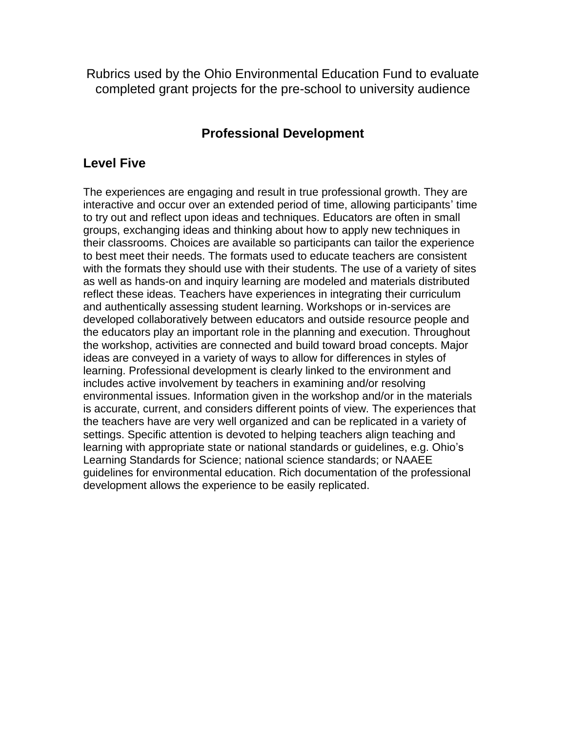Rubrics used by the Ohio Environmental Education Fund to evaluate completed grant projects for the pre-school to university audience

### **Professional Development**

#### **Level Five**

The experiences are engaging and result in true professional growth. They are interactive and occur over an extended period of time, allowing participants' time to try out and reflect upon ideas and techniques. Educators are often in small groups, exchanging ideas and thinking about how to apply new techniques in their classrooms. Choices are available so participants can tailor the experience to best meet their needs. The formats used to educate teachers are consistent with the formats they should use with their students. The use of a variety of sites as well as hands-on and inquiry learning are modeled and materials distributed reflect these ideas. Teachers have experiences in integrating their curriculum and authentically assessing student learning. Workshops or in-services are developed collaboratively between educators and outside resource people and the educators play an important role in the planning and execution. Throughout the workshop, activities are connected and build toward broad concepts. Major ideas are conveyed in a variety of ways to allow for differences in styles of learning. Professional development is clearly linked to the environment and includes active involvement by teachers in examining and/or resolving environmental issues. Information given in the workshop and/or in the materials is accurate, current, and considers different points of view. The experiences that the teachers have are very well organized and can be replicated in a variety of settings. Specific attention is devoted to helping teachers align teaching and learning with appropriate state or national standards or guidelines, e.g. Ohio's Learning Standards for Science; national science standards; or NAAEE guidelines for environmental education. Rich documentation of the professional development allows the experience to be easily replicated.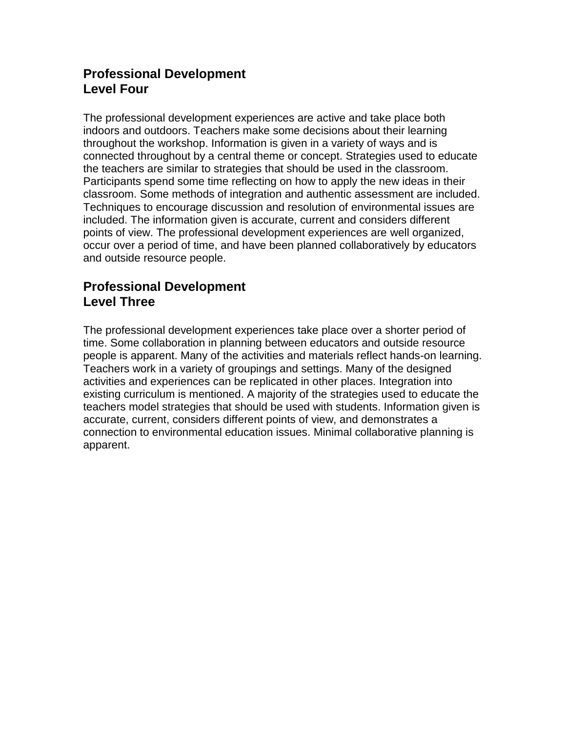## **Professional Development Level Four**

The professional development experiences are active and take place both indoors and outdoors. Teachers make some decisions about their learning throughout the workshop. Information is given in a variety of ways and is connected throughout by a central theme or concept. Strategies used to educate the teachers are similar to strategies that should be used in the classroom. Participants spend some time reflecting on how to apply the new ideas in their classroom. Some methods of integration and authentic assessment are included. Techniques to encourage discussion and resolution of environmental issues are included. The information given is accurate, current and considers different points of view. The professional development experiences are well organized, occur over a period of time, and have been planned collaboratively by educators and outside resource people.

# **Professional Development Level Three**

The professional development experiences take place over a shorter period of time. Some collaboration in planning between educators and outside resource people is apparent. Many of the activities and materials reflect hands-on learning. Teachers work in a variety of groupings and settings. Many of the designed activities and experiences can be replicated in other places. Integration into existing curriculum is mentioned. A majority of the strategies used to educate the teachers model strategies that should be used with students. Information given is accurate, current, considers different points of view, and demonstrates a connection to environmental education issues. Minimal collaborative planning is apparent.